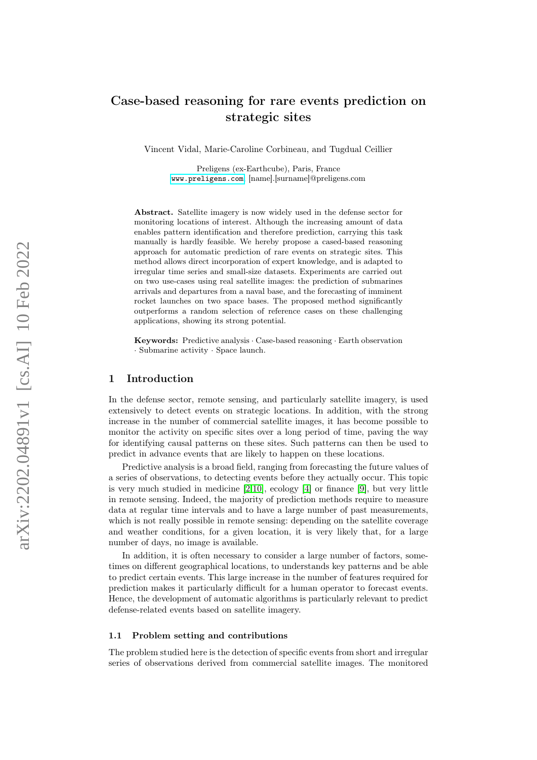# Case-based reasoning for rare events prediction on strategic sites

Vincent Vidal, Marie-Caroline Corbineau, and Tugdual Ceillier

Preligens (ex-Earthcube), Paris, France <www.preligens.com>, [name].[surname]@preligens.com

Abstract. Satellite imagery is now widely used in the defense sector for monitoring locations of interest. Although the increasing amount of data enables pattern identification and therefore prediction, carrying this task manually is hardly feasible. We hereby propose a cased-based reasoning approach for automatic prediction of rare events on strategic sites. This method allows direct incorporation of expert knowledge, and is adapted to irregular time series and small-size datasets. Experiments are carried out on two use-cases using real satellite images: the prediction of submarines arrivals and departures from a naval base, and the forecasting of imminent rocket launches on two space bases. The proposed method significantly outperforms a random selection of reference cases on these challenging applications, showing its strong potential.

Keywords: Predictive analysis · Case-based reasoning · Earth observation · Submarine activity · Space launch.

## 1 Introduction

In the defense sector, remote sensing, and particularly satellite imagery, is used extensively to detect events on strategic locations. In addition, with the strong increase in the number of commercial satellite images, it has become possible to monitor the activity on specific sites over a long period of time, paving the way for identifying causal patterns on these sites. Such patterns can then be used to predict in advance events that are likely to happen on these locations.

Predictive analysis is a broad field, ranging from forecasting the future values of a series of observations, to detecting events before they actually occur. This topic is very much studied in medicine  $[2,10]$  $[2,10]$ , ecology  $[4]$  or finance  $[9]$ , but very little in remote sensing. Indeed, the majority of prediction methods require to measure data at regular time intervals and to have a large number of past measurements, which is not really possible in remote sensing: depending on the satellite coverage and weather conditions, for a given location, it is very likely that, for a large number of days, no image is available.

In addition, it is often necessary to consider a large number of factors, sometimes on different geographical locations, to understands key patterns and be able to predict certain events. This large increase in the number of features required for prediction makes it particularly difficult for a human operator to forecast events. Hence, the development of automatic algorithms is particularly relevant to predict defense-related events based on satellite imagery.

#### 1.1 Problem setting and contributions

The problem studied here is the detection of specific events from short and irregular series of observations derived from commercial satellite images. The monitored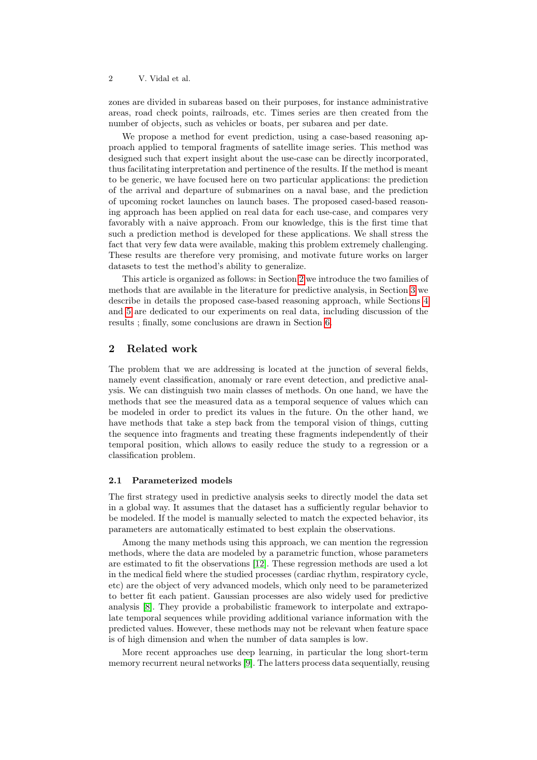zones are divided in subareas based on their purposes, for instance administrative areas, road check points, railroads, etc. Times series are then created from the number of objects, such as vehicles or boats, per subarea and per date.

We propose a method for event prediction, using a case-based reasoning approach applied to temporal fragments of satellite image series. This method was designed such that expert insight about the use-case can be directly incorporated, thus facilitating interpretation and pertinence of the results. If the method is meant to be generic, we have focused here on two particular applications: the prediction of the arrival and departure of submarines on a naval base, and the prediction of upcoming rocket launches on launch bases. The proposed cased-based reasoning approach has been applied on real data for each use-case, and compares very favorably with a naive approach. From our knowledge, this is the first time that such a prediction method is developed for these applications. We shall stress the fact that very few data were available, making this problem extremely challenging. These results are therefore very promising, and motivate future works on larger datasets to test the method's ability to generalize.

This article is organized as follows: in Section [2](#page-1-0) we introduce the two families of methods that are available in the literature for predictive analysis, in Section [3](#page-2-0) we describe in details the proposed case-based reasoning approach, while Sections [4](#page-4-0) and [5](#page-6-0) are dedicated to our experiments on real data, including discussion of the results ; finally, some conclusions are drawn in Section [6.](#page-8-0)

#### <span id="page-1-0"></span>2 Related work

The problem that we are addressing is located at the junction of several fields, namely event classification, anomaly or rare event detection, and predictive analysis. We can distinguish two main classes of methods. On one hand, we have the methods that see the measured data as a temporal sequence of values which can be modeled in order to predict its values in the future. On the other hand, we have methods that take a step back from the temporal vision of things, cutting the sequence into fragments and treating these fragments independently of their temporal position, which allows to easily reduce the study to a regression or a classification problem.

#### 2.1 Parameterized models

The first strategy used in predictive analysis seeks to directly model the data set in a global way. It assumes that the dataset has a sufficiently regular behavior to be modeled. If the model is manually selected to match the expected behavior, its parameters are automatically estimated to best explain the observations.

Among the many methods using this approach, we can mention the regression methods, where the data are modeled by a parametric function, whose parameters are estimated to fit the observations [\[12\]](#page-9-4). These regression methods are used a lot in the medical field where the studied processes (cardiac rhythm, respiratory cycle, etc) are the object of very advanced models, which only need to be parameterized to better fit each patient. Gaussian processes are also widely used for predictive analysis [\[8\]](#page-9-5). They provide a probabilistic framework to interpolate and extrapolate temporal sequences while providing additional variance information with the predicted values. However, these methods may not be relevant when feature space is of high dimension and when the number of data samples is low.

More recent approaches use deep learning, in particular the long short-term memory recurrent neural networks [\[9\]](#page-9-3). The latters process data sequentially, reusing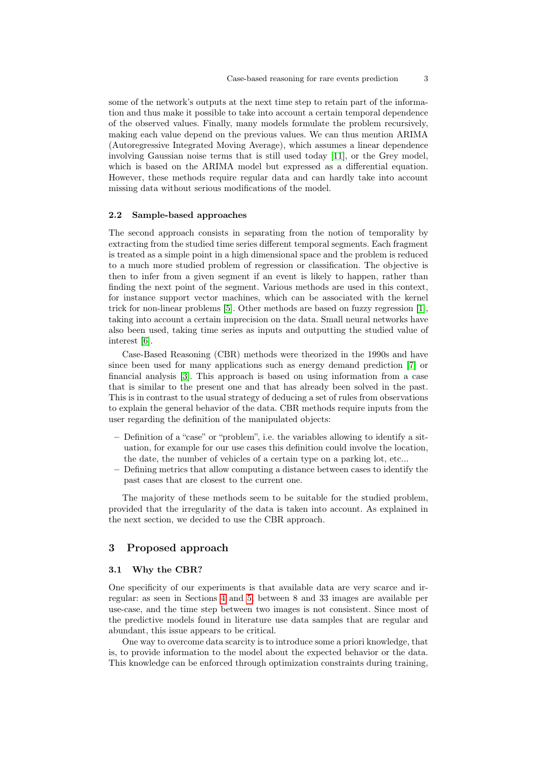some of the network's outputs at the next time step to retain part of the information and thus make it possible to take into account a certain temporal dependence of the observed values. Finally, many models formulate the problem recursively, making each value depend on the previous values. We can thus mention ARIMA (Autoregressive Integrated Moving Average), which assumes a linear dependence involving Gaussian noise terms that is still used today [\[11\]](#page-9-6), or the Grey model, which is based on the ARIMA model but expressed as a differential equation. However, these methods require regular data and can hardly take into account missing data without serious modifications of the model.

#### 2.2 Sample-based approaches

The second approach consists in separating from the notion of temporality by extracting from the studied time series different temporal segments. Each fragment is treated as a simple point in a high dimensional space and the problem is reduced to a much more studied problem of regression or classification. The objective is then to infer from a given segment if an event is likely to happen, rather than finding the next point of the segment. Various methods are used in this context, for instance support vector machines, which can be associated with the kernel trick for non-linear problems [\[5\]](#page-9-7). Other methods are based on fuzzy regression [\[1\]](#page-9-8), taking into account a certain imprecision on the data. Small neural networks have also been used, taking time series as inputs and outputting the studied value of interest [\[6\]](#page-9-9).

Case-Based Reasoning (CBR) methods were theorized in the 1990s and have since been used for many applications such as energy demand prediction [\[7\]](#page-9-10) or financial analysis [\[3\]](#page-9-11). This approach is based on using information from a case that is similar to the present one and that has already been solved in the past. This is in contrast to the usual strategy of deducing a set of rules from observations to explain the general behavior of the data. CBR methods require inputs from the user regarding the definition of the manipulated objects:

- Definition of a "case" or "problem", i.e. the variables allowing to identify a situation, for example for our use cases this definition could involve the location, the date, the number of vehicles of a certain type on a parking lot, etc...
- Defining metrics that allow computing a distance between cases to identify the past cases that are closest to the current one.

The majority of these methods seem to be suitable for the studied problem, provided that the irregularity of the data is taken into account. As explained in the next section, we decided to use the CBR approach.

## <span id="page-2-0"></span>3 Proposed approach

#### 3.1 Why the CBR?

One specificity of our experiments is that available data are very scarce and irregular: as seen in Sections [4](#page-4-0) and [5,](#page-6-0) between 8 and 33 images are available per use-case, and the time step between two images is not consistent. Since most of the predictive models found in literature use data samples that are regular and abundant, this issue appears to be critical.

One way to overcome data scarcity is to introduce some a priori knowledge, that is, to provide information to the model about the expected behavior or the data. This knowledge can be enforced through optimization constraints during training,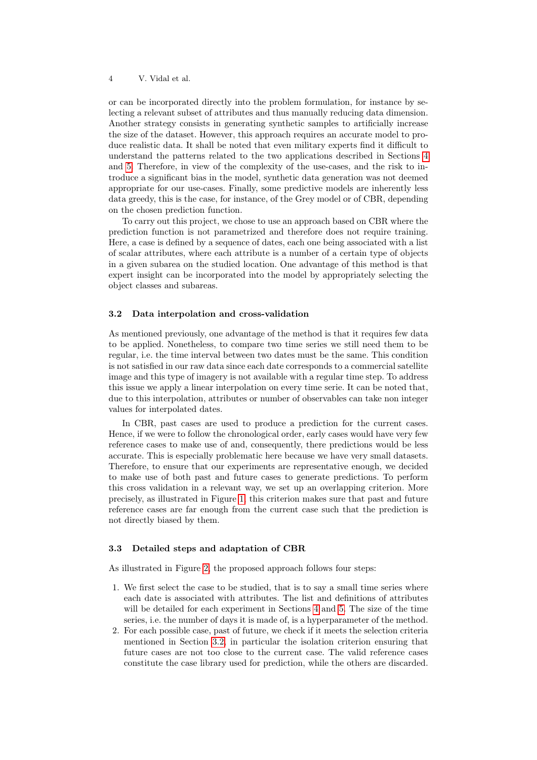or can be incorporated directly into the problem formulation, for instance by selecting a relevant subset of attributes and thus manually reducing data dimension. Another strategy consists in generating synthetic samples to artificially increase the size of the dataset. However, this approach requires an accurate model to produce realistic data. It shall be noted that even military experts find it difficult to understand the patterns related to the two applications described in Sections [4](#page-4-0) and [5.](#page-6-0) Therefore, in view of the complexity of the use-cases, and the risk to introduce a significant bias in the model, synthetic data generation was not deemed appropriate for our use-cases. Finally, some predictive models are inherently less data greedy, this is the case, for instance, of the Grey model or of CBR, depending on the chosen prediction function.

To carry out this project, we chose to use an approach based on CBR where the prediction function is not parametrized and therefore does not require training. Here, a case is defined by a sequence of dates, each one being associated with a list of scalar attributes, where each attribute is a number of a certain type of objects in a given subarea on the studied location. One advantage of this method is that expert insight can be incorporated into the model by appropriately selecting the object classes and subareas.

## <span id="page-3-0"></span>3.2 Data interpolation and cross-validation

As mentioned previously, one advantage of the method is that it requires few data to be applied. Nonetheless, to compare two time series we still need them to be regular, i.e. the time interval between two dates must be the same. This condition is not satisfied in our raw data since each date corresponds to a commercial satellite image and this type of imagery is not available with a regular time step. To address this issue we apply a linear interpolation on every time serie. It can be noted that, due to this interpolation, attributes or number of observables can take non integer values for interpolated dates.

In CBR, past cases are used to produce a prediction for the current cases. Hence, if we were to follow the chronological order, early cases would have very few reference cases to make use of and, consequently, there predictions would be less accurate. This is especially problematic here because we have very small datasets. Therefore, to ensure that our experiments are representative enough, we decided to make use of both past and future cases to generate predictions. To perform this cross validation in a relevant way, we set up an overlapping criterion. More precisely, as illustrated in Figure [1,](#page-4-1) this criterion makes sure that past and future reference cases are far enough from the current case such that the prediction is not directly biased by them.

#### 3.3 Detailed steps and adaptation of CBR

As illustrated in Figure [2,](#page-5-0) the proposed approach follows four steps:

- 1. We first select the case to be studied, that is to say a small time series where each date is associated with attributes. The list and definitions of attributes will be detailed for each experiment in Sections [4](#page-4-0) and [5.](#page-6-0) The size of the time series, i.e. the number of days it is made of, is a hyperparameter of the method.
- 2. For each possible case, past of future, we check if it meets the selection criteria mentioned in Section [3.2,](#page-3-0) in particular the isolation criterion ensuring that future cases are not too close to the current case. The valid reference cases constitute the case library used for prediction, while the others are discarded.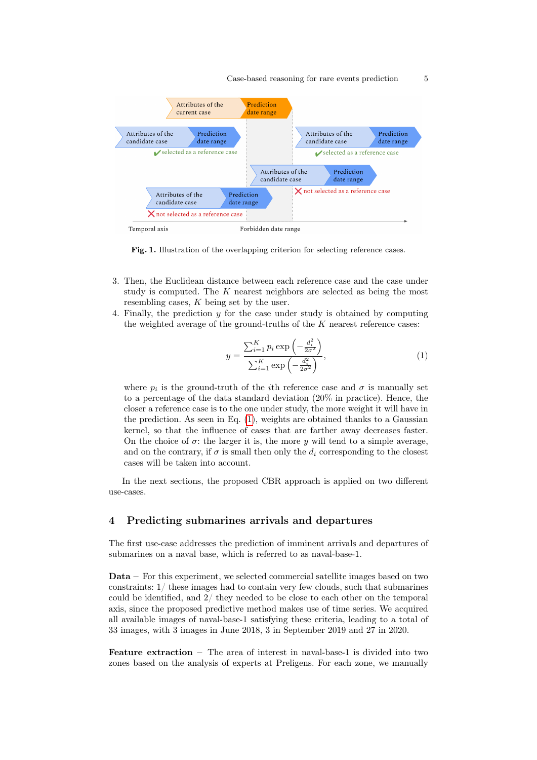

<span id="page-4-1"></span>Fig. 1. Illustration of the overlapping criterion for selecting reference cases.

- 3. Then, the Euclidean distance between each reference case and the case under study is computed. The K nearest neighbors are selected as being the most resembling cases, K being set by the user.
- 4. Finally, the prediction y for the case under study is obtained by computing the weighted average of the ground-truths of the  $K$  nearest reference cases:

<span id="page-4-2"></span>
$$
y = \frac{\sum_{i=1}^{K} p_i \exp\left(-\frac{d_i^2}{2\sigma^2}\right)}{\sum_{i=1}^{K} \exp\left(-\frac{d_i^2}{2\sigma^2}\right)},
$$
\n(1)

where  $p_i$  is the ground-truth of the *i*th reference case and  $\sigma$  is manually set to a percentage of the data standard deviation (20% in practice). Hence, the closer a reference case is to the one under study, the more weight it will have in the prediction. As seen in Eq. [\(1\)](#page-4-2), weights are obtained thanks to a Gaussian kernel, so that the influence of cases that are farther away decreases faster. On the choice of  $\sigma$ : the larger it is, the more y will tend to a simple average, and on the contrary, if  $\sigma$  is small then only the  $d_i$  corresponding to the closest cases will be taken into account.

In the next sections, the proposed CBR approach is applied on two different use-cases.

## <span id="page-4-0"></span>4 Predicting submarines arrivals and departures

The first use-case addresses the prediction of imminent arrivals and departures of submarines on a naval base, which is referred to as naval-base-1.

Data – For this experiment, we selected commercial satellite images based on two constraints: 1/ these images had to contain very few clouds, such that submarines could be identified, and 2/ they needed to be close to each other on the temporal axis, since the proposed predictive method makes use of time series. We acquired all available images of naval-base-1 satisfying these criteria, leading to a total of 33 images, with 3 images in June 2018, 3 in September 2019 and 27 in 2020.

Feature extraction – The area of interest in naval-base-1 is divided into two zones based on the analysis of experts at Preligens. For each zone, we manually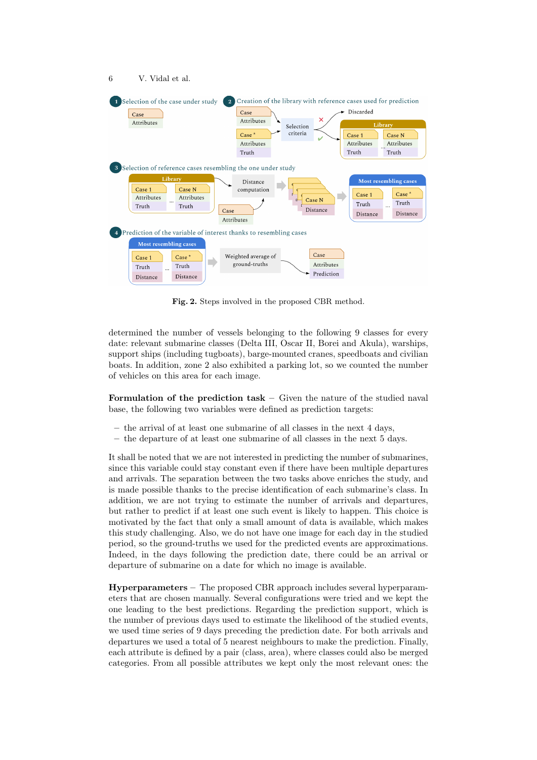

<span id="page-5-0"></span>Fig. 2. Steps involved in the proposed CBR method.

determined the number of vessels belonging to the following 9 classes for every date: relevant submarine classes (Delta III, Oscar II, Borei and Akula), warships, support ships (including tugboats), barge-mounted cranes, speedboats and civilian boats. In addition, zone 2 also exhibited a parking lot, so we counted the number of vehicles on this area for each image.

Formulation of the prediction task – Given the nature of the studied naval base, the following two variables were defined as prediction targets:

- $-$  the arrival of at least one submarine of all classes in the next 4 days,
- the departure of at least one submarine of all classes in the next 5 days.

It shall be noted that we are not interested in predicting the number of submarines, since this variable could stay constant even if there have been multiple departures and arrivals. The separation between the two tasks above enriches the study, and is made possible thanks to the precise identification of each submarine's class. In addition, we are not trying to estimate the number of arrivals and departures, but rather to predict if at least one such event is likely to happen. This choice is motivated by the fact that only a small amount of data is available, which makes this study challenging. Also, we do not have one image for each day in the studied period, so the ground-truths we used for the predicted events are approximations. Indeed, in the days following the prediction date, there could be an arrival or departure of submarine on a date for which no image is available.

Hyperparameters – The proposed CBR approach includes several hyperparameters that are chosen manually. Several configurations were tried and we kept the one leading to the best predictions. Regarding the prediction support, which is the number of previous days used to estimate the likelihood of the studied events, we used time series of 9 days preceding the prediction date. For both arrivals and departures we used a total of 5 nearest neighbours to make the prediction. Finally, each attribute is defined by a pair (class, area), where classes could also be merged categories. From all possible attributes we kept only the most relevant ones: the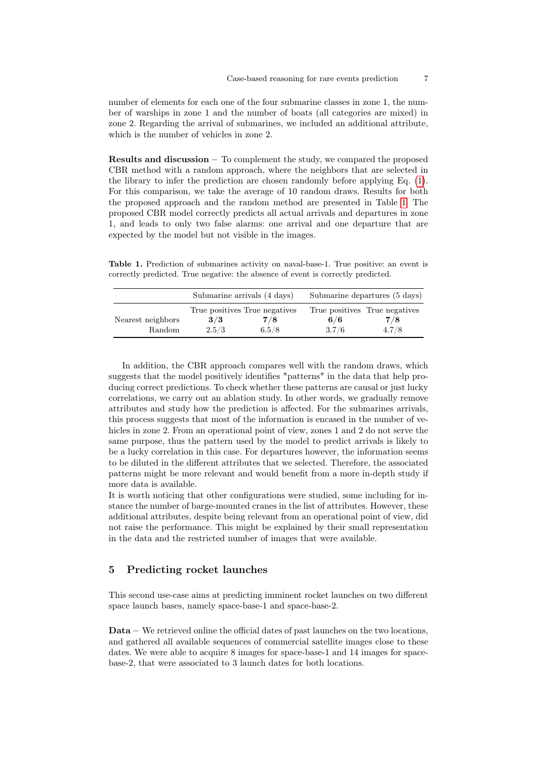number of elements for each one of the four submarine classes in zone 1, the number of warships in zone 1 and the number of boats (all categories are mixed) in zone 2. Regarding the arrival of submarines, we included an additional attribute, which is the number of vehicles in zone 2.

Results and discussion – To complement the study, we compared the proposed CBR method with a random approach, where the neighbors that are selected in the library to infer the prediction are chosen randomly before applying Eq. [\(1\)](#page-4-2). For this comparison, we take the average of 10 random draws. Results for both the proposed approach and the random method are presented in Table [1.](#page-6-1) The proposed CBR model correctly predicts all actual arrivals and departures in zone 1, and leads to only two false alarms: one arrival and one departure that are expected by the model but not visible in the images.

<span id="page-6-1"></span>Table 1. Prediction of submarines activity on naval-base-1. True positive: an event is correctly predicted. True negative: the absence of event is correctly predicted.

|                             | Submarine arrivals (4 days) |                                               | Submarine departures (5 days) |                                               |  |
|-----------------------------|-----------------------------|-----------------------------------------------|-------------------------------|-----------------------------------------------|--|
| Nearest neighbors<br>Random | 3/3<br>2.5/3                | True positives True negatives<br>7/8<br>6.5/8 | 6/6<br>3.7/6                  | True positives True negatives<br>7/8<br>4.7/8 |  |

In addition, the CBR approach compares well with the random draws, which suggests that the model positively identifies "patterns" in the data that help producing correct predictions. To check whether these patterns are causal or just lucky correlations, we carry out an ablation study. In other words, we gradually remove attributes and study how the prediction is affected. For the submarines arrivals, this process suggests that most of the information is encased in the number of vehicles in zone 2. From an operational point of view, zones 1 and 2 do not serve the same purpose, thus the pattern used by the model to predict arrivals is likely to be a lucky correlation in this case. For departures however, the information seems to be diluted in the different attributes that we selected. Therefore, the associated patterns might be more relevant and would benefit from a more in-depth study if more data is available.

It is worth noticing that other configurations were studied, some including for instance the number of barge-mounted cranes in the list of attributes. However, these additional attributes, despite being relevant from an operational point of view, did not raise the performance. This might be explained by their small representation in the data and the restricted number of images that were available.

## <span id="page-6-0"></span>5 Predicting rocket launches

This second use-case aims at predicting imminent rocket launches on two different space launch bases, namely space-base-1 and space-base-2.

Data – We retrieved online the official dates of past launches on the two locations, and gathered all available sequences of commercial satellite images close to these dates. We were able to acquire 8 images for space-base-1 and 14 images for spacebase-2, that were associated to 3 launch dates for both locations.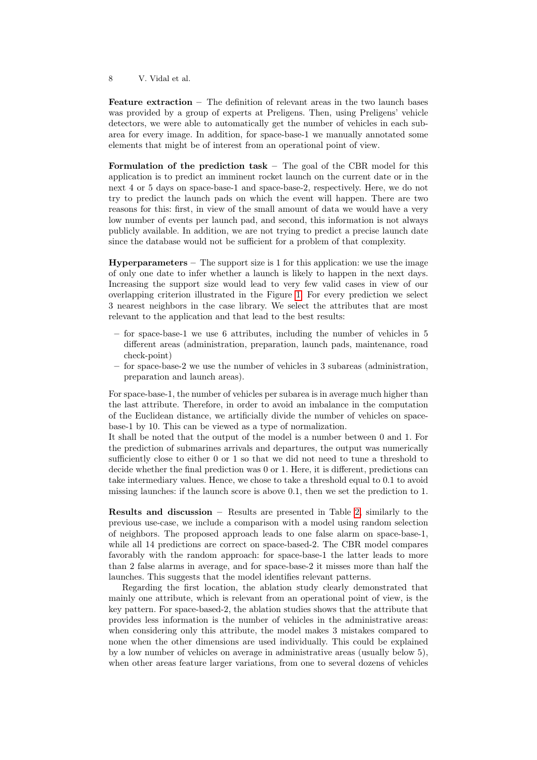Feature extraction – The definition of relevant areas in the two launch bases was provided by a group of experts at Preligens. Then, using Preligens' vehicle detectors, we were able to automatically get the number of vehicles in each subarea for every image. In addition, for space-base-1 we manually annotated some elements that might be of interest from an operational point of view.

Formulation of the prediction task – The goal of the CBR model for this application is to predict an imminent rocket launch on the current date or in the next 4 or 5 days on space-base-1 and space-base-2, respectively. Here, we do not try to predict the launch pads on which the event will happen. There are two reasons for this: first, in view of the small amount of data we would have a very low number of events per launch pad, and second, this information is not always publicly available. In addition, we are not trying to predict a precise launch date since the database would not be sufficient for a problem of that complexity.

**Hyperparameters** – The support size is 1 for this application: we use the image of only one date to infer whether a launch is likely to happen in the next days. Increasing the support size would lead to very few valid cases in view of our overlapping criterion illustrated in the Figure [1.](#page-4-1) For every prediction we select 3 nearest neighbors in the case library. We select the attributes that are most relevant to the application and that lead to the best results:

- for space-base-1 we use 6 attributes, including the number of vehicles in 5 different areas (administration, preparation, launch pads, maintenance, road check-point)
- for space-base-2 we use the number of vehicles in 3 subareas (administration, preparation and launch areas).

For space-base-1, the number of vehicles per subarea is in average much higher than the last attribute. Therefore, in order to avoid an imbalance in the computation of the Euclidean distance, we artificially divide the number of vehicles on spacebase-1 by 10. This can be viewed as a type of normalization.

It shall be noted that the output of the model is a number between 0 and 1. For the prediction of submarines arrivals and departures, the output was numerically sufficiently close to either 0 or 1 so that we did not need to tune a threshold to decide whether the final prediction was 0 or 1. Here, it is different, predictions can take intermediary values. Hence, we chose to take a threshold equal to 0.1 to avoid missing launches: if the launch score is above 0.1, then we set the prediction to 1.

Results and discussion – Results are presented in Table [2,](#page-8-1) similarly to the previous use-case, we include a comparison with a model using random selection of neighbors. The proposed approach leads to one false alarm on space-base-1, while all 14 predictions are correct on space-based-2. The CBR model compares favorably with the random approach: for space-base-1 the latter leads to more than 2 false alarms in average, and for space-base-2 it misses more than half the launches. This suggests that the model identifies relevant patterns.

Regarding the first location, the ablation study clearly demonstrated that mainly one attribute, which is relevant from an operational point of view, is the key pattern. For space-based-2, the ablation studies shows that the attribute that provides less information is the number of vehicles in the administrative areas: when considering only this attribute, the model makes 3 mistakes compared to none when the other dimensions are used individually. This could be explained by a low number of vehicles on average in administrative areas (usually below 5), when other areas feature larger variations, from one to several dozens of vehicles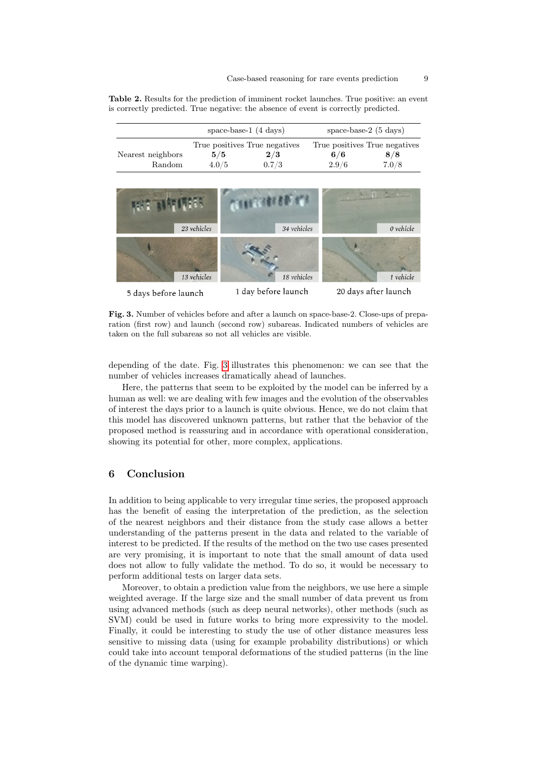<span id="page-8-1"></span>Table 2. Results for the prediction of imminent rocket launches. True positive: an event is correctly predicted. True negative: the absence of event is correctly predicted.

|                             | space-base-1 $(4 \text{ days})$ |                                               | space-base- $2(5 \text{ days})$ |                                               |  |
|-----------------------------|---------------------------------|-----------------------------------------------|---------------------------------|-----------------------------------------------|--|
| Nearest neighbors<br>Random | 5/5<br>4.0/5                    | True positives True negatives<br>2/3<br>0.7/3 | 6/6<br>2.9/6                    | True positives True negatives<br>8/8<br>7.0/8 |  |



<span id="page-8-2"></span>Fig. 3. Number of vehicles before and after a launch on space-base-2. Close-ups of preparation (first row) and launch (second row) subareas. Indicated numbers of vehicles are taken on the full subareas so not all vehicles are visible.

depending of the date. Fig. [3](#page-8-2) illustrates this phenomenon: we can see that the number of vehicles increases dramatically ahead of launches.

Here, the patterns that seem to be exploited by the model can be inferred by a human as well: we are dealing with few images and the evolution of the observables of interest the days prior to a launch is quite obvious. Hence, we do not claim that this model has discovered unknown patterns, but rather that the behavior of the proposed method is reassuring and in accordance with operational consideration, showing its potential for other, more complex, applications.

## <span id="page-8-0"></span>6 Conclusion

In addition to being applicable to very irregular time series, the proposed approach has the benefit of easing the interpretation of the prediction, as the selection of the nearest neighbors and their distance from the study case allows a better understanding of the patterns present in the data and related to the variable of interest to be predicted. If the results of the method on the two use cases presented are very promising, it is important to note that the small amount of data used does not allow to fully validate the method. To do so, it would be necessary to perform additional tests on larger data sets.

Moreover, to obtain a prediction value from the neighbors, we use here a simple weighted average. If the large size and the small number of data prevent us from using advanced methods (such as deep neural networks), other methods (such as SVM) could be used in future works to bring more expressivity to the model. Finally, it could be interesting to study the use of other distance measures less sensitive to missing data (using for example probability distributions) or which could take into account temporal deformations of the studied patterns (in the line of the dynamic time warping).